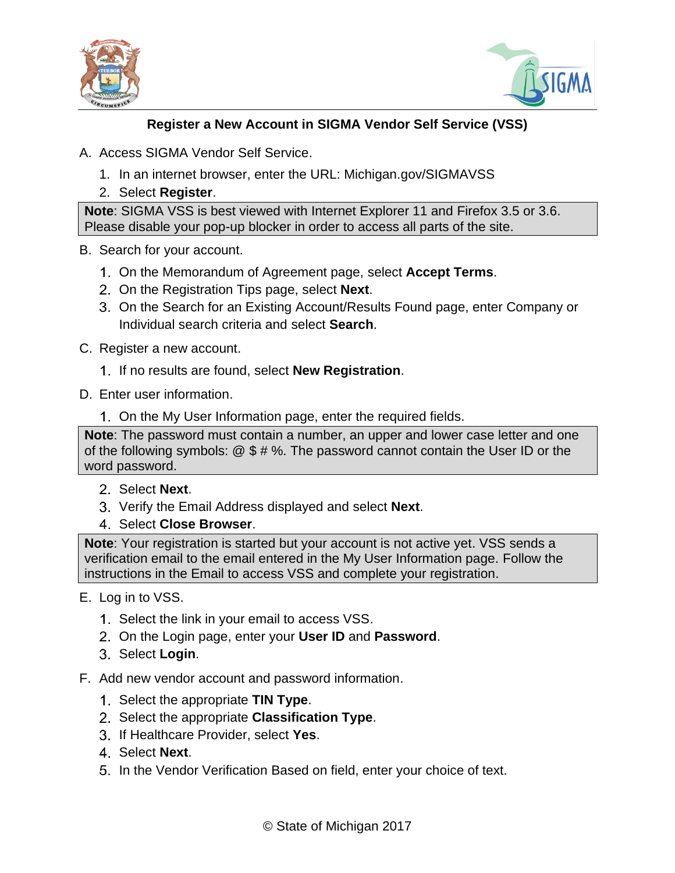



## **Register a New Account in SIGMA Vendor Self Service (VSS)**

- A. Access SIGMA Vendor Self Service.
	- 1. In an internet browser, enter the URL: Michigan.gov/SIGMAVSS
	- 2. Select **Register**.

**Note**: SIGMA VSS is best viewed with Internet Explorer 11 and Firefox 3.5 or 3.6. Please disable your pop-up blocker in order to access all parts of the site.

- B. Search for your account.
	- On the Memorandum of Agreement page, select **Accept Terms**.
	- On the Registration Tips page, select **Next**.
	- On the Search for an Existing Account/Results Found page, enter Company or Individual search criteria and select **Search**.
- C. Register a new account.
	- If no results are found, select **New Registration**.
- D. Enter user information.
	- On the My User Information page, enter the required fields.

**Note**: The password must contain a number, an upper and lower case letter and one of the following symbols: @ \$ # %. The password cannot contain the User ID or the word password.

- Select **Next**.
- Verify the Email Address displayed and select **Next**.
- Select **Close Browser**.

**Note**: Your registration is started but your account is not active yet. VSS sends a verification email to the email entered in the My User Information page. Follow the instructions in the Email to access VSS and complete your registration.

- E. Log in to VSS.
	- 1. Select the link in your email to access VSS.
	- On the Login page, enter your **User ID** and **Password**.
	- Select **Login**.
- F. Add new vendor account and password information.
	- 1. Select the appropriate **TIN Type**.
	- Select the appropriate **Classification Type**.
	- If Healthcare Provider, select **Yes**.
	- Select **Next**.
	- 5. In the Vendor Verification Based on field, enter your choice of text.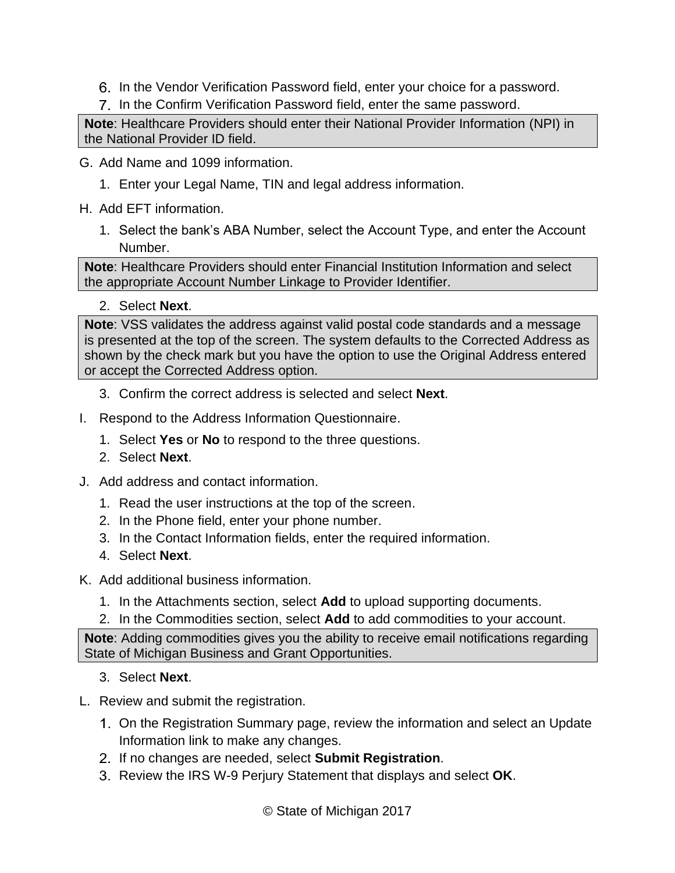- 6. In the Vendor Verification Password field, enter your choice for a password.
- 7. In the Confirm Verification Password field, enter the same password.

**Note**: Healthcare Providers should enter their National Provider Information (NPI) in the National Provider ID field.

- G. Add Name and 1099 information.
	- 1. Enter your Legal Name, TIN and legal address information.
- H. Add EFT information.
	- 1. Select the bank's ABA Number, select the Account Type, and enter the Account Number.

**Note**: Healthcare Providers should enter Financial Institution Information and select the appropriate Account Number Linkage to Provider Identifier.

2. Select **Next**.

**Note**: VSS validates the address against valid postal code standards and a message is presented at the top of the screen. The system defaults to the Corrected Address as shown by the check mark but you have the option to use the Original Address entered or accept the Corrected Address option.

- 3. Confirm the correct address is selected and select **Next**.
- I. Respond to the Address Information Questionnaire.
	- 1. Select **Yes** or **No** to respond to the three questions.
	- 2. Select **Next**.
- J. Add address and contact information.
	- 1. Read the user instructions at the top of the screen.
	- 2. In the Phone field, enter your phone number.
	- 3. In the Contact Information fields, enter the required information.
	- 4. Select **Next**.
- K. Add additional business information.
	- 1. In the Attachments section, select **Add** to upload supporting documents.
	- 2. In the Commodities section, select **Add** to add commodities to your account.

**Note**: Adding commodities gives you the ability to receive email notifications regarding State of Michigan Business and Grant Opportunities.

- 3. Select **Next**.
- L. Review and submit the registration.
	- On the Registration Summary page, review the information and select an Update Information link to make any changes.
	- If no changes are needed, select **Submit Registration**.
	- Review the IRS W-9 Perjury Statement that displays and select **OK**.